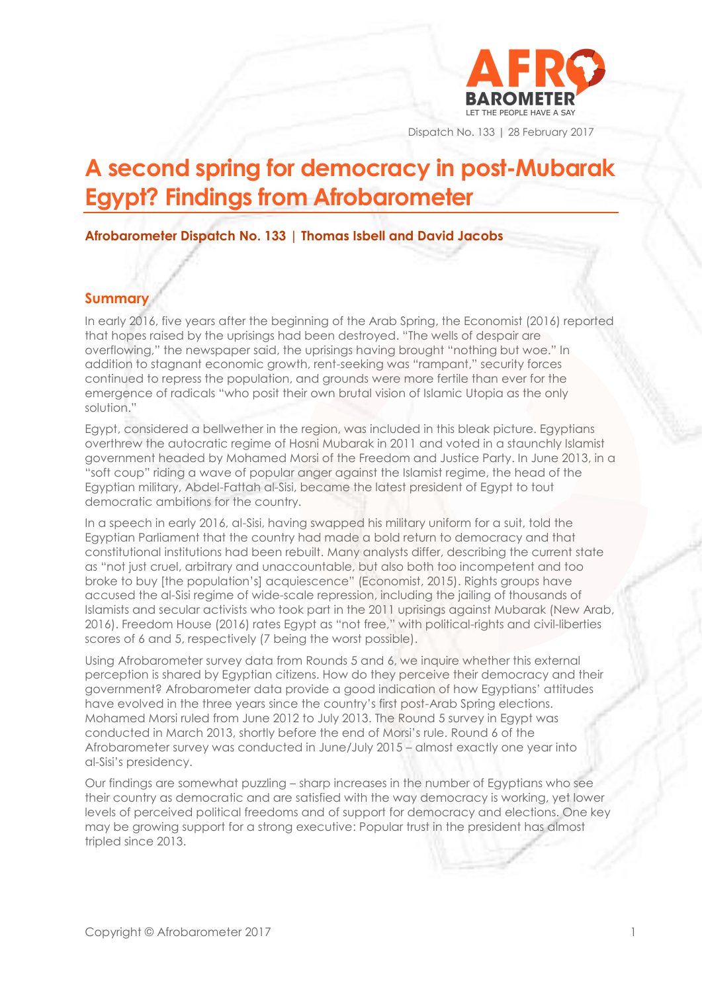

Dispatch No. 133 | 28 February 2017

# **A second spring for democracy in post-Mubarak Egypt? Findings from Afrobarometer**

**Afrobarometer Dispatch No. 133 | Thomas Isbell and David Jacobs**

## **Summary**

In early 2016, five years after the beginning of the Arab Spring, the Economist (2016) reported that hopes raised by the uprisings had been destroyed. "The wells of despair are overflowing," the newspaper said, the uprisings having brought "nothing but woe." In addition to stagnant economic growth, rent-seeking was "rampant," security forces continued to repress the population, and grounds were more fertile than ever for the emergence of radicals "who posit their own brutal vision of Islamic Utopia as the only solution."

Egypt, considered a bellwether in the region, was included in this bleak picture. Egyptians overthrew the autocratic regime of Hosni Mubarak in 2011 and voted in a staunchly Islamist government headed by Mohamed Morsi of the Freedom and Justice Party. In June 2013, in a "soft coup" riding a wave of popular anger against the Islamist regime, the head of the Egyptian military, Abdel-Fattah al-Sisi, became the latest president of Egypt to tout democratic ambitions for the country.

In a speech in early 2016, al-Sisi, having swapped his military uniform for a suit, told the Egyptian Parliament that the country had made a bold return to democracy and that constitutional institutions had been rebuilt. Many analysts differ, describing the current state as "not just cruel, arbitrary and unaccountable, but also both too incompetent and too broke to buy [the population's] acquiescence" (Economist, 2015). Rights groups have accused the al-Sisi regime of wide-scale repression, including the jailing of thousands of Islamists and secular activists who took part in the 2011 uprisings against Mubarak (New Arab, 2016). Freedom House (2016) rates Egypt as "not free," with political-rights and civil-liberties scores of 6 and 5, respectively (7 being the worst possible).

Using Afrobarometer survey data from Rounds 5 and 6, we inquire whether this external perception is shared by Egyptian citizens. How do they perceive their democracy and their government? Afrobarometer data provide a good indication of how Egyptians' attitudes have evolved in the three years since the country's first post-Arab Spring elections. Mohamed Morsi ruled from June 2012 to July 2013. The Round 5 survey in Egypt was conducted in March 2013, shortly before the end of Morsi's rule. Round 6 of the Afrobarometer survey was conducted in June/July 2015 – almost exactly one year into al-Sisi's presidency.

Our findings are somewhat puzzling – sharp increases in the number of Egyptians who see their country as democratic and are satisfied with the way democracy is working, yet lower levels of perceived political freedoms and of support for democracy and elections. One key may be growing support for a strong executive: Popular trust in the president has almost tripled since 2013.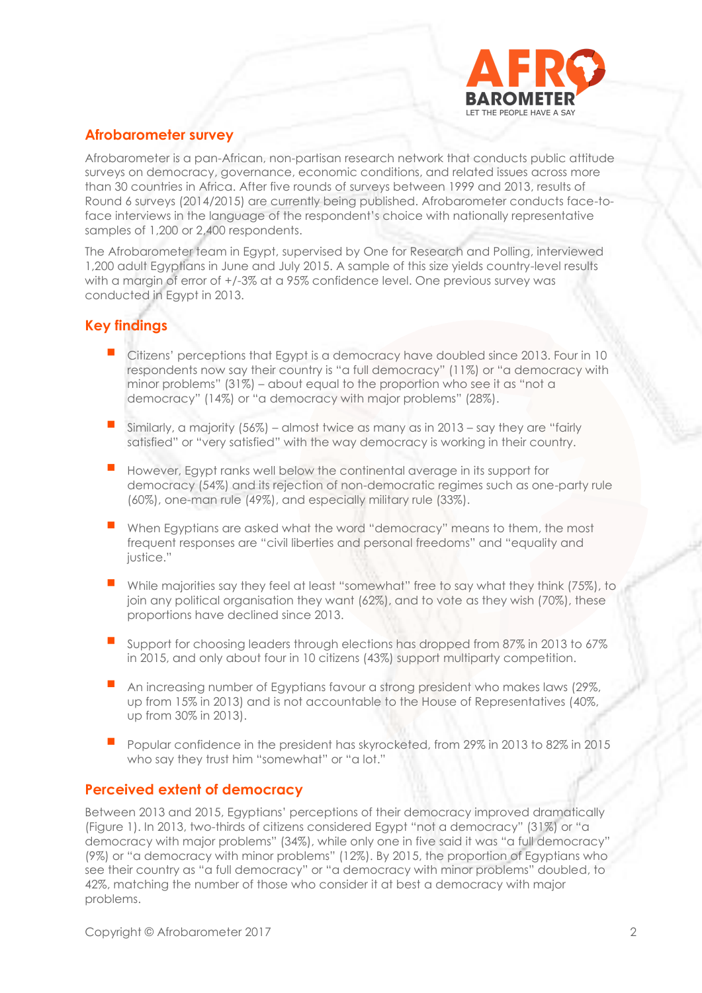

# **Afrobarometer survey**

Afrobarometer is a pan-African, non-partisan research network that conducts public attitude surveys on democracy, governance, economic conditions, and related issues across more than 30 countries in Africa. After five rounds of surveys between 1999 and 2013, results of Round 6 surveys (2014/2015) are currently being published. Afrobarometer conducts face-toface interviews in the language of the respondent's choice with nationally representative samples of 1,200 or 2,400 respondents.

The Afrobarometer team in Egypt, supervised by One for Research and Polling, interviewed 1,200 adult Egyptians in June and July 2015. A sample of this size yields country-level results with a margin of error of +/-3% at a 95% confidence level. One previous survey was conducted in Egypt in 2013.

# **Key findings**

- Citizens' perceptions that Egypt is a democracy have doubled since 2013. Four in 10 respondents now say their country is "a full democracy" (11%) or "a democracy with minor problems" (31%) – about equal to the proportion who see it as "not a democracy" (14%) or "a democracy with major problems" (28%).
- Similarly, a majority (56%) almost twice as many as in 2013 say they are "fairly satisfied" or "very satisfied" with the way democracy is working in their country.
- However, Egypt ranks well below the continental average in its support for democracy (54%) and its rejection of non-democratic regimes such as one-party rule (60%), one-man rule (49%), and especially military rule (33%).
- When Egyptians are asked what the word "democracy" means to them, the most frequent responses are "civil liberties and personal freedoms" and "equality and justice."
- While majorities say they feel at least "somewhat" free to say what they think (75%), to join any political organisation they want (62%), and to vote as they wish (70%), these proportions have declined since 2013.
- Support for choosing leaders through elections has dropped from 87% in 2013 to 67% in 2015, and only about four in 10 citizens (43%) support multiparty competition.
- An increasing number of Egyptians favour a strong president who makes laws (29%, up from 15% in 2013) and is not accountable to the House of Representatives (40%, up from 30% in 2013).
- Popular confidence in the president has skyrocketed, from 29% in 2013 to 82% in 2015 who say they trust him "somewhat" or "a lot."

# **Perceived extent of democracy**

Between 2013 and 2015, Egyptians' perceptions of their democracy improved dramatically (Figure 1). In 2013, two-thirds of citizens considered Egypt "not a democracy" (31%) or "a democracy with major problems" (34%), while only one in five said it was "a full democracy" (9%) or "a democracy with minor problems" (12%). By 2015, the proportion of Egyptians who see their country as "a full democracy" or "a democracy with minor problems" doubled, to 42%, matching the number of those who consider it at best a democracy with major problems.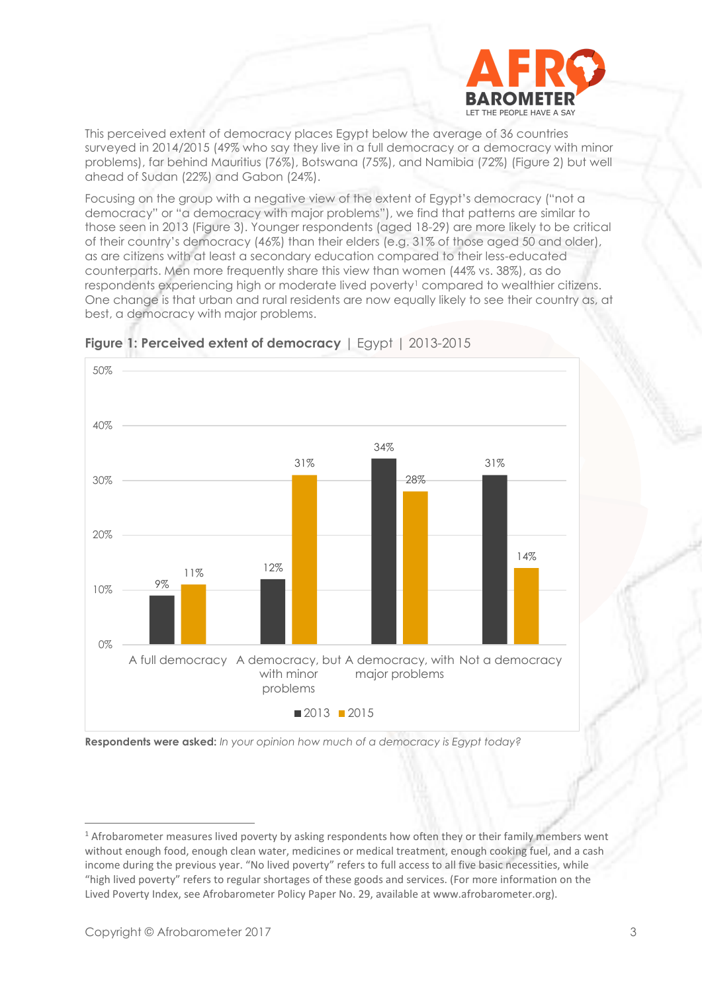

This perceived extent of democracy places Egypt below the average of 36 countries surveyed in 2014/2015 (49% who say they live in a full democracy or a democracy with minor problems), far behind Mauritius (76%), Botswana (75%), and Namibia (72%) (Figure 2) but well ahead of Sudan (22%) and Gabon (24%).

Focusing on the group with a negative view of the extent of Egypt's democracy ("not a democracy" or "a democracy with major problems"), we find that patterns are similar to those seen in 2013 (Figure 3). Younger respondents (aged 18-29) are more likely to be critical of their country's democracy (46%) than their elders (e.g. 31% of those aged 50 and older), as are citizens with at least a secondary education compared to their less-educated counterparts. Men more frequently share this view than women (44% vs. 38%), as do respondents experiencing high or moderate lived poverty<sup>1</sup> compared to wealthier citizens. One change is that urban and rural residents are now equally likely to see their country as, at best, a democracy with major problems.



## **Figure 1: Perceived extent of democracy** | Egypt | 2013-2015

**Respondents were asked:** *In your opinion how much of a democracy is Egypt today?*

<sup>&</sup>lt;sup>1</sup> Afrobarometer measures lived poverty by asking respondents how often they or their family members went without enough food, enough clean water, medicines or medical treatment, enough cooking fuel, and a cash income during the previous year. "No lived poverty" refers to full access to all five basic necessities, while "high lived poverty" refers to regular shortages of these goods and services. (For more information on the Lived Poverty Index, see Afrobarometer Policy Paper No. 29, available at www.afrobarometer.org).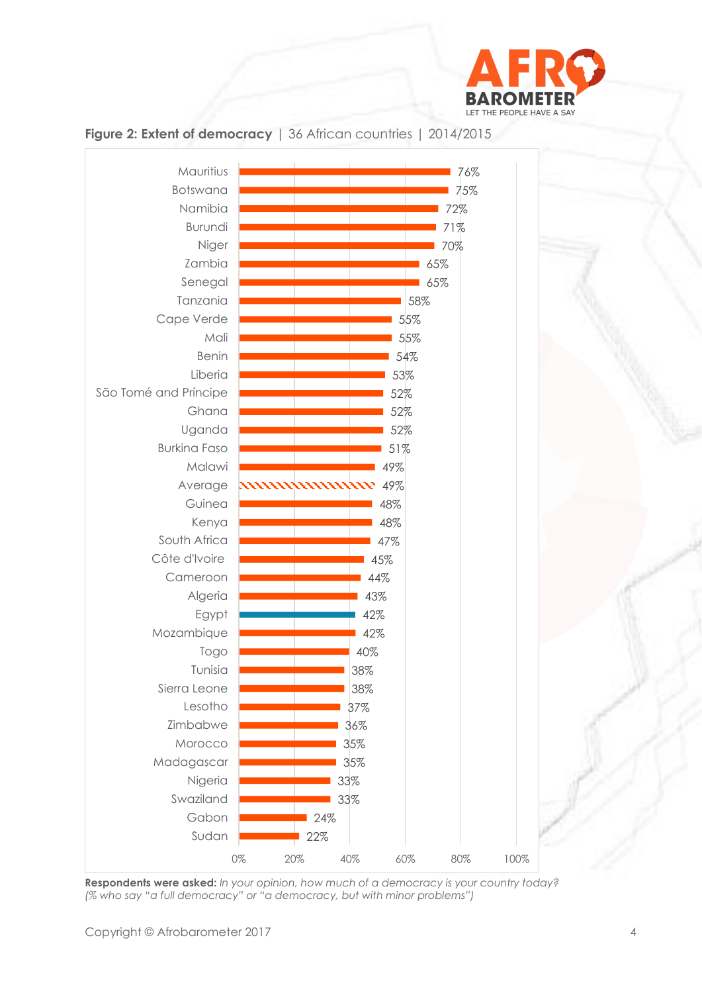



# **Figure 2: Extent of democracy** | 36 African countries | 2014/2015

**Respondents were asked:** *In your opinion, how much of a democracy is your country today? (% who say "a full democracy" or "a democracy, but with minor problems")*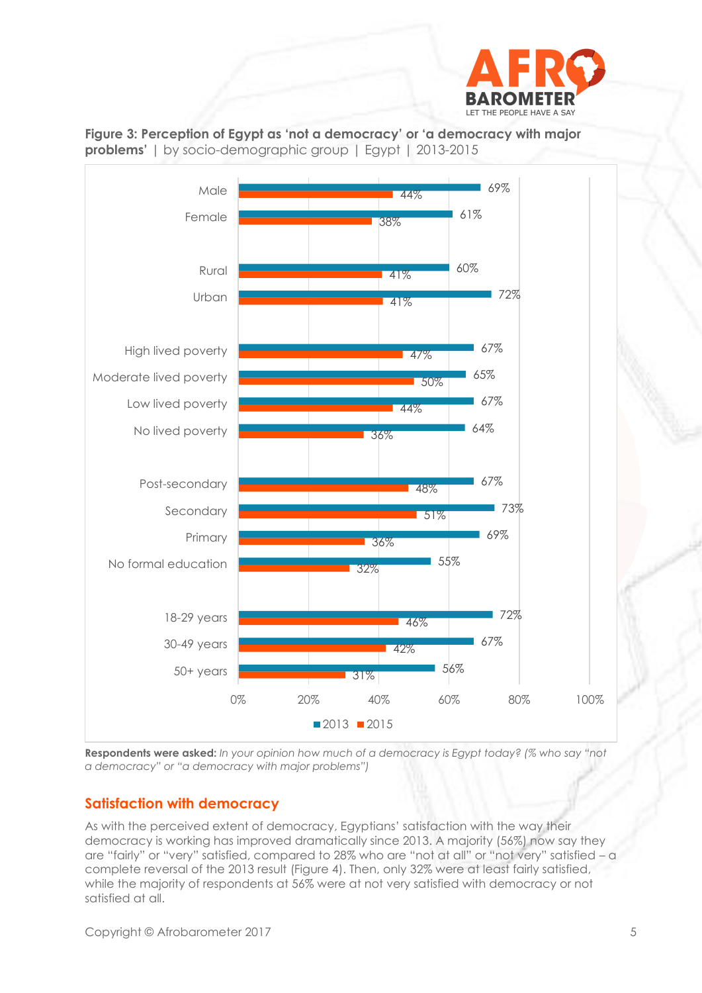





**Respondents were asked:** *In your opinion how much of a democracy is Egypt today? (% who say "not a democracy" or "a democracy with major problems")*

# **Satisfaction with democracy**

As with the perceived extent of democracy, Egyptians' satisfaction with the way their democracy is working has improved dramatically since 2013. A majority (56%) now say they are "fairly" or "very" satisfied, compared to 28% who are "not at all" or "not very" satisfied – a complete reversal of the 2013 result (Figure 4). Then, only 32% were at least fairly satisfied, while the majority of respondents at 56% were at not very satisfied with democracy or not satisfied at all.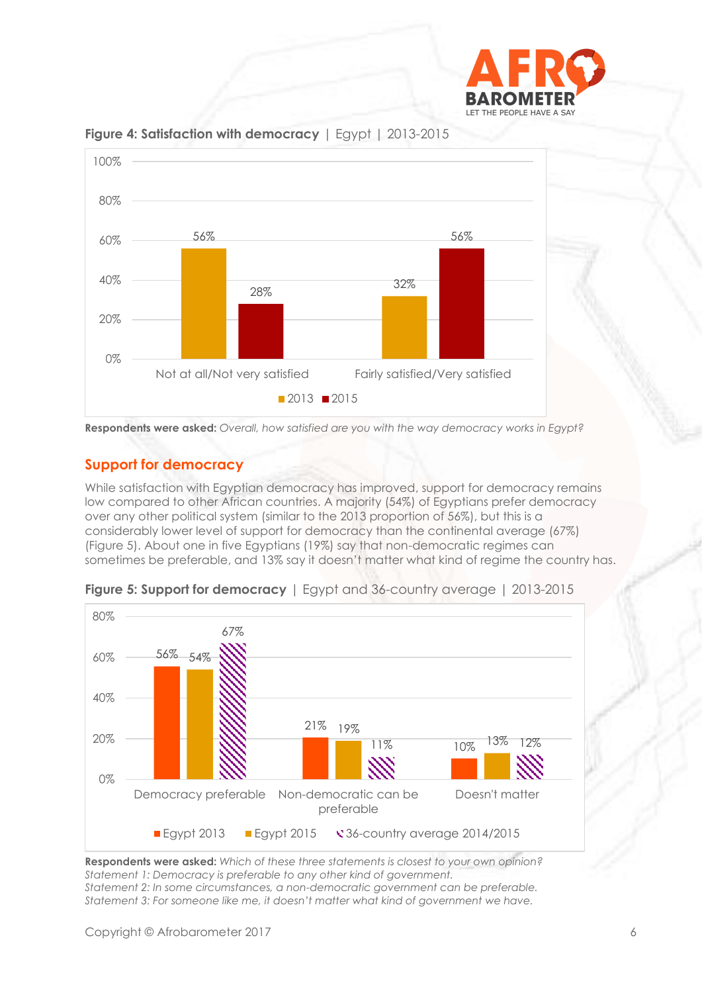



**Figure 4: Satisfaction with democracy** | Egypt | 2013-2015

**Respondents were asked:** *Overall, how satisfied are you with the way democracy works in Egypt?*

# **Support for democracy**

While satisfaction with Egyptian democracy has improved, support for democracy remains low compared to other African countries. A majority (54%) of Egyptians prefer democracy over any other political system (similar to the 2013 proportion of 56%), but this is a considerably lower level of support for democracy than the continental average (67%) (Figure 5). About one in five Egyptians (19%) say that non-democratic regimes can sometimes be preferable, and 13% say it doesn't matter what kind of regime the country has.



**Figure 5: Support for democracy** | Egypt and 36-country average | 2013-2015

**Respondents were asked:** *Which of these three statements is closest to your own opinion? Statement 1: Democracy is preferable to any other kind of government. Statement 2: In some circumstances, a non-democratic government can be preferable. Statement 3: For someone like me, it doesn't matter what kind of government we have.*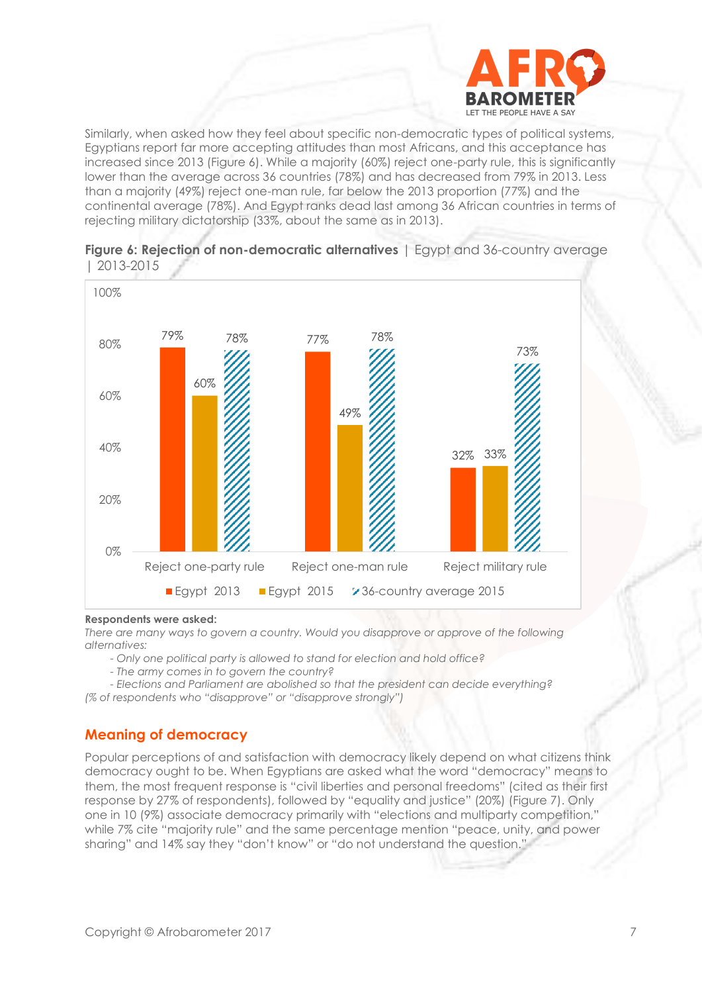

Similarly, when asked how they feel about specific non-democratic types of political systems, Egyptians report far more accepting attitudes than most Africans, and this acceptance has increased since 2013 (Figure 6). While a majority (60%) reject one-party rule, this is significantly lower than the average across 36 countries (78%) and has decreased from 79% in 2013. Less than a majority (49%) reject one-man rule, far below the 2013 proportion (77%) and the continental average (78%). And Egypt ranks dead last among 36 African countries in terms of rejecting military dictatorship (33%, about the same as in 2013).



#### **Figure 6: Rejection of non-democratic alternatives** | Egypt and 36-country average | 2013-2015

#### **Respondents were asked:**

*There are many ways to govern a country. Would you disapprove or approve of the following alternatives:* 

*- Only one political party is allowed to stand for election and hold office?*

*- The army comes in to govern the country?*

*- Elections and Parliament are abolished so that the president can decide everything? (% of respondents who "disapprove" or "disapprove strongly")*

#### **Meaning of democracy**

Popular perceptions of and satisfaction with democracy likely depend on what citizens think democracy ought to be. When Egyptians are asked what the word "democracy" means to them, the most frequent response is "civil liberties and personal freedoms" (cited as their first response by 27% of respondents), followed by "equality and justice" (20%) (Figure 7). Only one in 10 (9%) associate democracy primarily with "elections and multiparty competition," while 7% cite "majority rule" and the same percentage mention "peace, unity, and power sharing" and 14% say they "don't know" or "do not understand the question."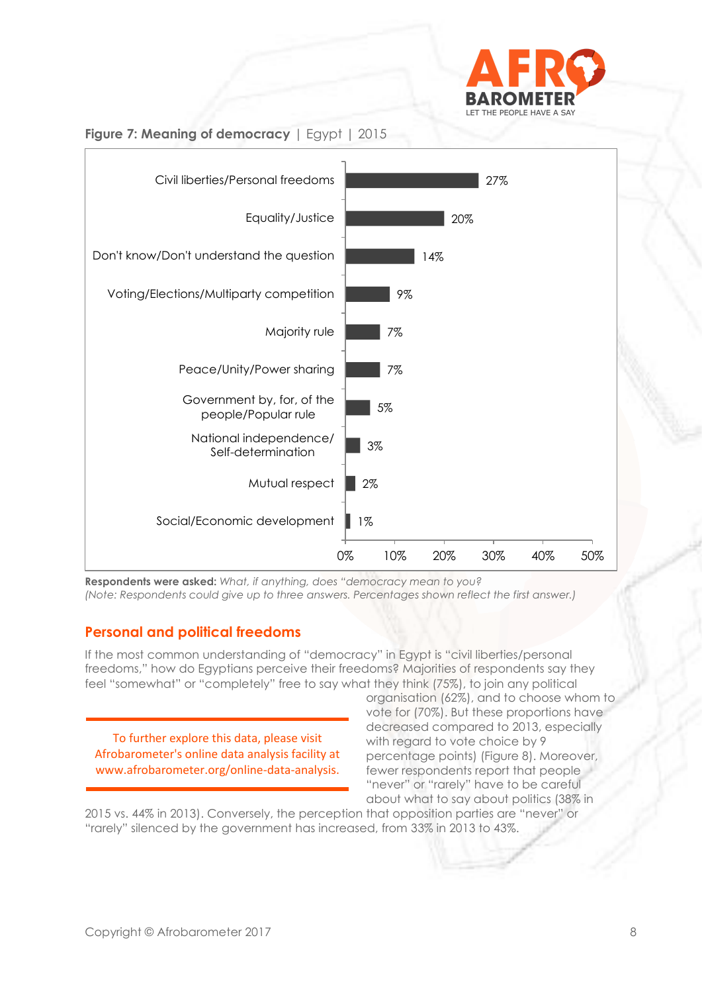



# **Figure 7: Meaning of democracy** | Egypt | 2015

**Respondents were asked:** *What, if anything, does "democracy mean to you? (Note: Respondents could give up to three answers. Percentages shown reflect the first answer.)*

# **Personal and political freedoms**

If the most common understanding of "democracy" in Egypt is "civil liberties/personal freedoms," how do Egyptians perceive their freedoms? Majorities of respondents say they feel "somewhat" or "completely" free to say what they think (75%), to join any political

To further explore this data, please visit Afrobarometer's online data analysis facility at www.afrobarometer.org/online-data-analysis.

organisation (62%), and to choose whom to vote for (70%). But these proportions have decreased compared to 2013, especially with regard to vote choice by 9 percentage points) (Figure 8). Moreover, fewer respondents report that people "never" or "rarely" have to be careful about what to say about politics (38% in

2015 vs. 44% in 2013). Conversely, the perception that opposition parties are "never" or "rarely" silenced by the government has increased, from 33% in 2013 to 43%.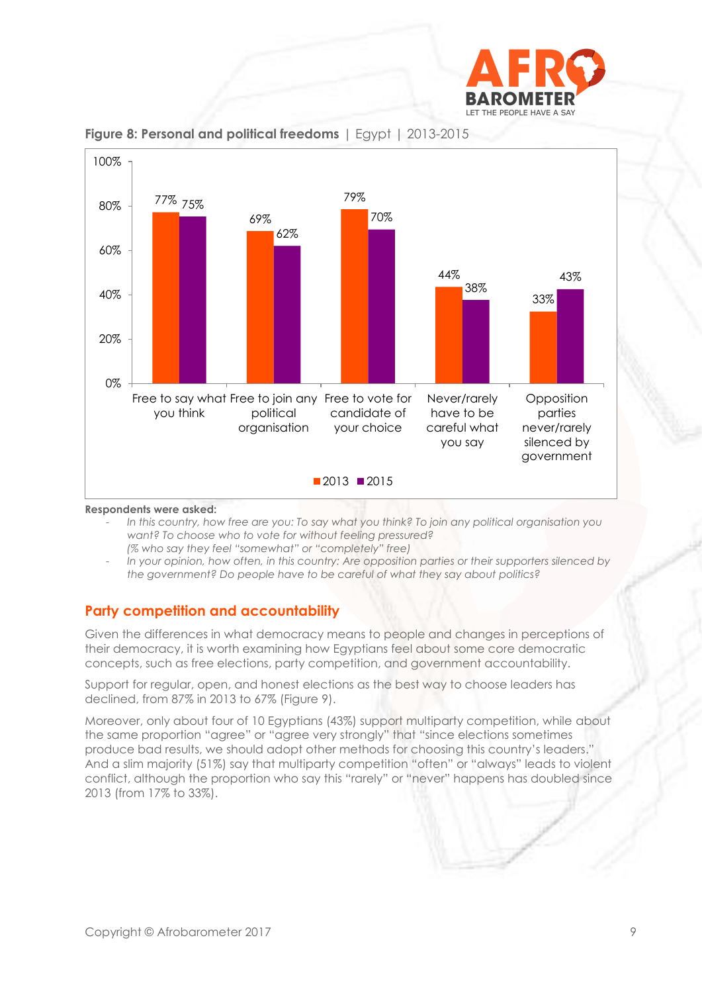



**Figure 8: Personal and political freedoms** | Egypt | 2013-2015

**Respondents were asked:** 

- *In this country, how free are you: To say what you think? To join any political organisation you want? To choose who to vote for without feeling pressured? (% who say they feel "somewhat" or "completely" free)*
- *In your opinion, how often, in this country: Are opposition parties or their supporters silenced by the government? Do people have to be careful of what they say about politics?*

# **Party competition and accountability**

Given the differences in what democracy means to people and changes in perceptions of their democracy, it is worth examining how Egyptians feel about some core democratic concepts, such as free elections, party competition, and government accountability.

Support for regular, open, and honest elections as the best way to choose leaders has declined, from 87% in 2013 to 67% (Figure 9).

Moreover, only about four of 10 Egyptians (43%) support multiparty competition, while about the same proportion "agree" or "agree very strongly" that "since elections sometimes produce bad results, we should adopt other methods for choosing this country's leaders." And a slim majority (51%) say that multiparty competition "often" or "always" leads to violent conflict, although the proportion who say this "rarely" or "never" happens has doubled since 2013 (from 17% to 33%).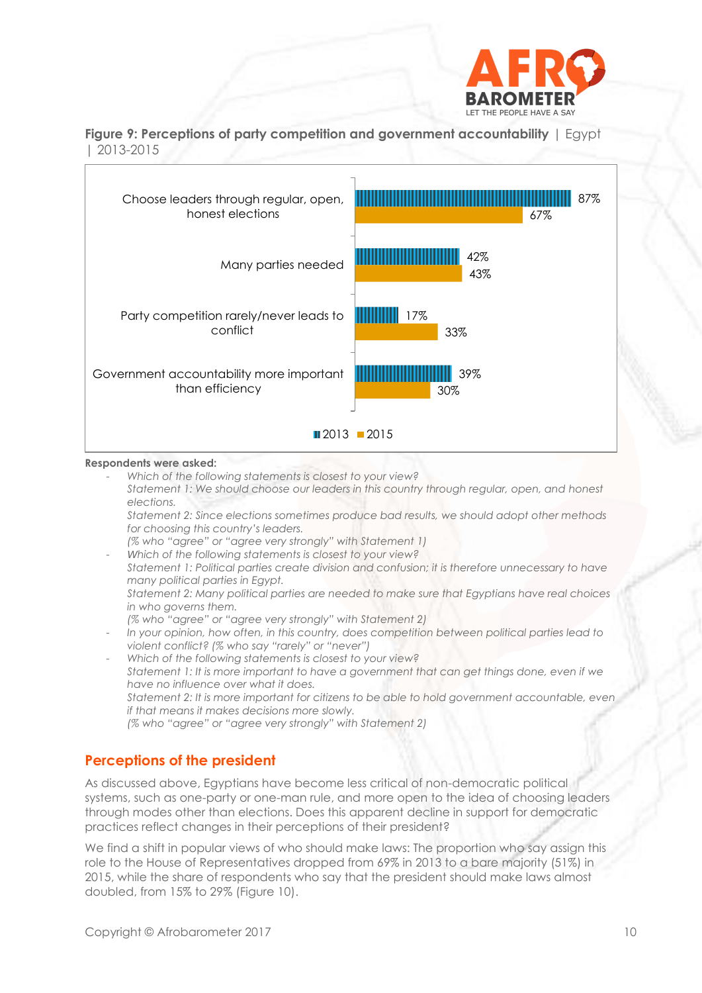

**Figure 9: Perceptions of party competition and government accountability** | Egypt | 2013-2015



#### **Respondents were asked:**

- *Which of the following statements is closest to your view?*
- *Statement 1: We should choose our leaders in this country through regular, open, and honest elections.*
- *Statement 2: Since elections sometimes produce bad results, we should adopt other methods for choosing this country's leaders.*
- *(% who "agree" or "agree very strongly" with Statement 1)*

- *Which of the following statements is closest to your view? Statement 1: Political parties create division and confusion; it is therefore unnecessary to have many political parties in Egypt. Statement 2: Many political parties are needed to make sure that Egyptians have real choices in who governs them. (% who "agree" or "agree very strongly" with Statement 2)*

- *In your opinion, how often, in this country, does competition between political parties lead to violent conflict? (% who say "rarely" or "never")*
- *Which of the following statements is closest to your view? Statement 1: It is more important to have a government that can get things done, even if we have no influence over what it does. Statement 2: It is more important for citizens to be able to hold government accountable, even if that means it makes decisions more slowly. (% who "agree" or "agree very strongly" with Statement 2)*

#### **Perceptions of the president**

As discussed above, Egyptians have become less critical of non-democratic political systems, such as one-party or one-man rule, and more open to the idea of choosing leaders through modes other than elections. Does this apparent decline in support for democratic practices reflect changes in their perceptions of their president?

We find a shift in popular views of who should make laws: The proportion who say assign this role to the House of Representatives dropped from 69% in 2013 to a bare majority (51%) in 2015, while the share of respondents who say that the president should make laws almost doubled, from 15% to 29% (Figure 10).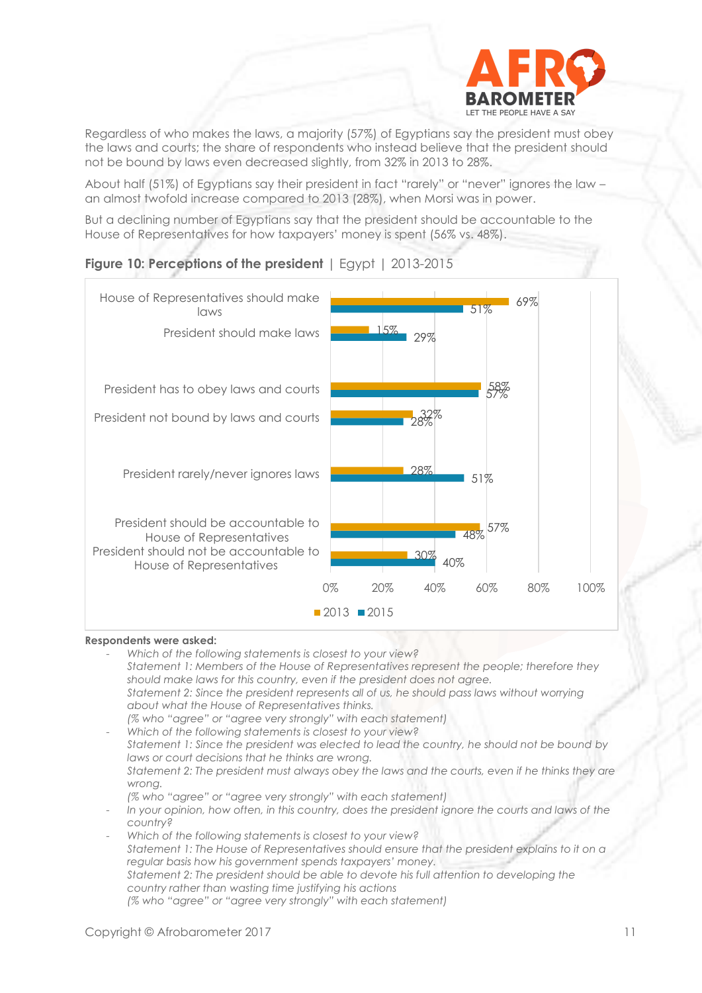

Regardless of who makes the laws, a majority (57%) of Egyptians say the president must obey the laws and courts; the share of respondents who instead believe that the president should not be bound by laws even decreased slightly, from 32% in 2013 to 28%.

About half (51%) of Egyptians say their president in fact "rarely" or "never" ignores the law – an almost twofold increase compared to 2013 (28%), when Morsi was in power.

But a declining number of Egyptians say that the president should be accountable to the House of Representatives for how taxpayers' money is spent (56% vs. 48%).



## **Figure 10: Perceptions of the president** | Egypt | 2013-2015

#### **Respondents were asked:**

- *Which of the following statements is closest to your view? Statement 1: Members of the House of Representatives represent the people; therefore they should make laws for this country, even if the president does not agree. Statement 2: Since the president represents all of us, he should pass laws without worrying about what the House of Representatives thinks. (% who "agree" or "agree very strongly" with each statement)* - *Which of the following statements is closest to your view? Statement 1: Since the president was elected to lead the country, he should not be bound by laws or court decisions that he thinks are wrong. Statement 2: The president must always obey the laws and the courts, even if he thinks they are wrong. (% who "agree" or "agree very strongly" with each statement)* In your opinion, how often, in this country, does the president ignore the courts and laws of the *country?*
- *Which of the following statements is closest to your view? Statement 1: The House of Representatives should ensure that the president explains to it on a regular basis how his government spends taxpayers' money. Statement 2: The president should be able to devote his full attention to developing the country rather than wasting time justifying his actions (% who "agree" or "agree very strongly" with each statement)*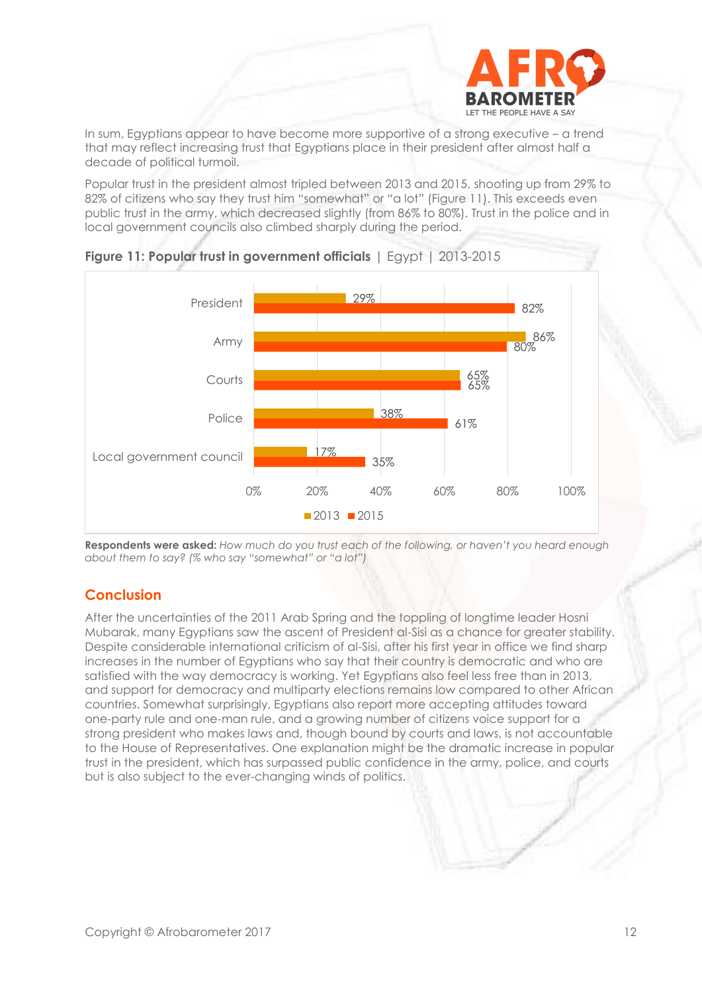

In sum, Egyptians appear to have become more supportive of a strong executive – a trend that may reflect increasing trust that Egyptians place in their president after almost half a decade of political turmoil.

Popular trust in the president almost tripled between 2013 and 2015, shooting up from 29% to 82% of citizens who say they trust him "somewhat" or "a lot" (Figure 11). This exceeds even public trust in the army, which decreased slightly (from 86% to 80%). Trust in the police and in local government councils also climbed sharply during the period.





**Respondents were asked:** *How much do you trust each of the following, or haven't you heard enough about them to say? (% who say "somewhat" or "a lot")* 

#### **Conclusion**

After the uncertainties of the 2011 Arab Spring and the toppling of longtime leader Hosni Mubarak, many Egyptians saw the ascent of President al-Sisi as a chance for greater stability. Despite considerable international criticism of al-Sisi, after his first year in office we find sharp increases in the number of Egyptians who say that their country is democratic and who are satisfied with the way democracy is working. Yet Egyptians also feel less free than in 2013, and support for democracy and multiparty elections remains low compared to other African countries. Somewhat surprisingly, Egyptians also report more accepting attitudes toward one-party rule and one-man rule, and a growing number of citizens voice support for a strong president who makes laws and, though bound by courts and laws, is not accountable to the House of Representatives. One explanation might be the dramatic increase in popular trust in the president, which has surpassed public confidence in the army, police, and courts but is also subject to the ever-changing winds of politics.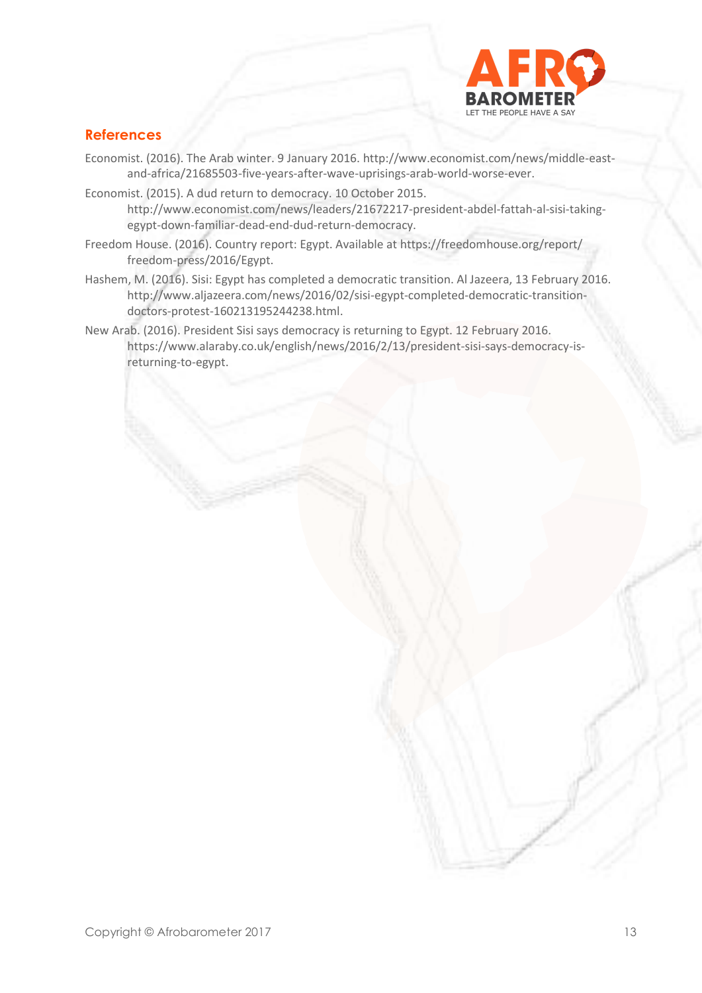

# **References**

- Economist. (2016). The Arab winter. 9 January 2016. [http://www.economist.com/news/middle-east](http://www.economist.com/news/middle-east-and-africa/21685503-five-years-after-wave-uprisings-arab-world-worse-ever)[and-africa/21685503-five-years-after-wave-uprisings-arab-world-worse-ever.](http://www.economist.com/news/middle-east-and-africa/21685503-five-years-after-wave-uprisings-arab-world-worse-ever)
- Economist. (2015). A dud return to democracy. 10 October 2015. [http://www.economist.com/news/leaders/21672217-president-abdel-fattah-al-sisi-taking](http://www.economist.com/news/leaders/21672217-president-abdel-fattah-al-sisi-taking-egypt-down-familiar-dead-end-dud-return-democracy)[egypt-down-familiar-dead-end-dud-return-democracy.](http://www.economist.com/news/leaders/21672217-president-abdel-fattah-al-sisi-taking-egypt-down-familiar-dead-end-dud-return-democracy)
- Freedom House. (2016). Country report: Egypt. Available at<https://freedomhouse.org/report/> freedom-press/2016/Egypt.
- Hashem, M. (2016). Sisi: Egypt has completed a democratic transition. Al Jazeera, 13 February 2016. [http://www.aljazeera.com/news/2016/02/sisi-egypt-completed-democratic-transition](http://www.aljazeera.com/news/2016/02/sisi-egypt-completed-democratic-transition-doctors-protest-160)[doctors-protest-1602](http://www.aljazeera.com/news/2016/02/sisi-egypt-completed-democratic-transition-doctors-protest-160)13195244238.html.
- New Arab. (2016). President Sisi says democracy is returning to Egypt. 12 February 2016. https://www.alaraby.co.uk/english/news/2016/2/13/president-sisi-says-democracy-isreturning-to-egypt.